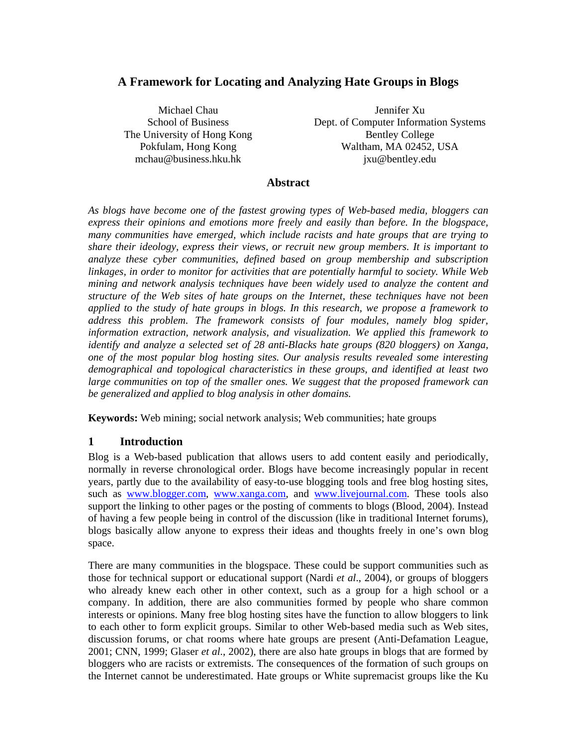## **A Framework for Locating and Analyzing Hate Groups in Blogs**

Michael Chau School of Business The University of Hong Kong Pokfulam, Hong Kong mchau@business.hku.hk

Jennifer Xu Dept. of Computer Information Systems Bentley College Waltham, MA 02452, USA jxu@bentley.edu

#### **Abstract**

*As blogs have become one of the fastest growing types of Web-based media, bloggers can express their opinions and emotions more freely and easily than before. In the blogspace, many communities have emerged, which include racists and hate groups that are trying to share their ideology, express their views, or recruit new group members. It is important to analyze these cyber communities, defined based on group membership and subscription linkages, in order to monitor for activities that are potentially harmful to society. While Web mining and network analysis techniques have been widely used to analyze the content and structure of the Web sites of hate groups on the Internet, these techniques have not been applied to the study of hate groups in blogs. In this research, we propose a framework to address this problem. The framework consists of four modules, namely blog spider, information extraction, network analysis, and visualization. We applied this framework to identify and analyze a selected set of 28 anti-Blacks hate groups (820 bloggers) on Xanga, one of the most popular blog hosting sites. Our analysis results revealed some interesting demographical and topological characteristics in these groups, and identified at least two*  large communities on top of the smaller ones. We suggest that the proposed framework can *be generalized and applied to blog analysis in other domains.* 

**Keywords:** Web mining; social network analysis; Web communities; hate groups

### **1 Introduction**

Blog is a Web-based publication that allows users to add content easily and periodically, normally in reverse chronological order. Blogs have become increasingly popular in recent years, partly due to the availability of easy-to-use blogging tools and free blog hosting sites, such as www.blogger.com, www.xanga.com, and www.livejournal.com. These tools also support the linking to other pages or the posting of comments to blogs (Blood, 2004). Instead of having a few people being in control of the discussion (like in traditional Internet forums), blogs basically allow anyone to express their ideas and thoughts freely in one's own blog space.

There are many communities in the blogspace. These could be support communities such as those for technical support or educational support (Nardi *et al*., 2004), or groups of bloggers who already knew each other in other context, such as a group for a high school or a company. In addition, there are also communities formed by people who share common interests or opinions. Many free blog hosting sites have the function to allow bloggers to link to each other to form explicit groups. Similar to other Web-based media such as Web sites, discussion forums, or chat rooms where hate groups are present (Anti-Defamation League, 2001; CNN, 1999; Glaser *et al*., 2002), there are also hate groups in blogs that are formed by bloggers who are racists or extremists. The consequences of the formation of such groups on the Internet cannot be underestimated. Hate groups or White supremacist groups like the Ku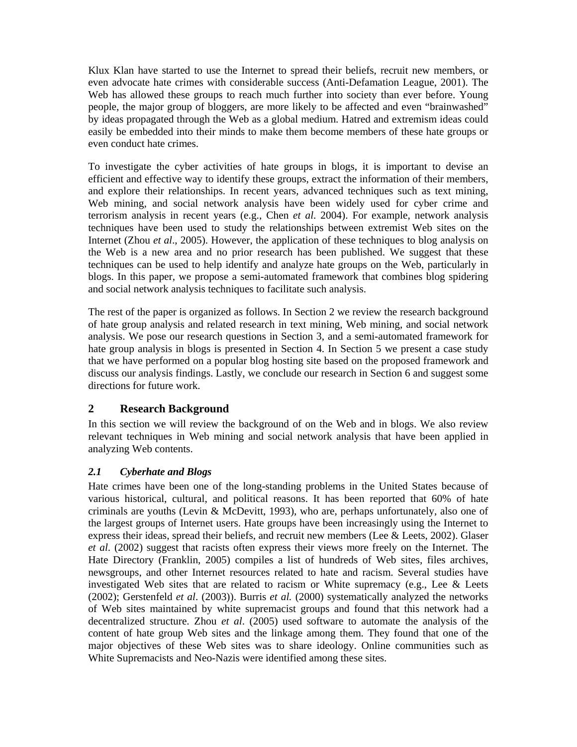Klux Klan have started to use the Internet to spread their beliefs, recruit new members, or even advocate hate crimes with considerable success (Anti-Defamation League, 2001). The Web has allowed these groups to reach much further into society than ever before. Young people, the major group of bloggers, are more likely to be affected and even "brainwashed" by ideas propagated through the Web as a global medium. Hatred and extremism ideas could easily be embedded into their minds to make them become members of these hate groups or even conduct hate crimes.

To investigate the cyber activities of hate groups in blogs, it is important to devise an efficient and effective way to identify these groups, extract the information of their members, and explore their relationships. In recent years, advanced techniques such as text mining, Web mining, and social network analysis have been widely used for cyber crime and terrorism analysis in recent years (e.g., Chen *et al*. 2004). For example, network analysis techniques have been used to study the relationships between extremist Web sites on the Internet (Zhou *et al*., 2005). However, the application of these techniques to blog analysis on the Web is a new area and no prior research has been published. We suggest that these techniques can be used to help identify and analyze hate groups on the Web, particularly in blogs. In this paper, we propose a semi-automated framework that combines blog spidering and social network analysis techniques to facilitate such analysis.

The rest of the paper is organized as follows. In Section 2 we review the research background of hate group analysis and related research in text mining, Web mining, and social network analysis. We pose our research questions in Section 3, and a semi-automated framework for hate group analysis in blogs is presented in Section 4. In Section 5 we present a case study that we have performed on a popular blog hosting site based on the proposed framework and discuss our analysis findings. Lastly, we conclude our research in Section 6 and suggest some directions for future work.

## **2 Research Background**

In this section we will review the background of on the Web and in blogs. We also review relevant techniques in Web mining and social network analysis that have been applied in analyzing Web contents.

### *2.1 Cyberhate and Blogs*

Hate crimes have been one of the long-standing problems in the United States because of various historical, cultural, and political reasons. It has been reported that 60% of hate criminals are youths (Levin & McDevitt, 1993), who are, perhaps unfortunately, also one of the largest groups of Internet users. Hate groups have been increasingly using the Internet to express their ideas, spread their beliefs, and recruit new members (Lee & Leets, 2002). Glaser *et al*. (2002) suggest that racists often express their views more freely on the Internet. The Hate Directory (Franklin, 2005) compiles a list of hundreds of Web sites, files archives, newsgroups, and other Internet resources related to hate and racism. Several studies have investigated Web sites that are related to racism or White supremacy (e.g., Lee  $\&$  Leets (2002); Gerstenfeld *et al*. (2003)). Burris *et al.* (2000) systematically analyzed the networks of Web sites maintained by white supremacist groups and found that this network had a decentralized structure. Zhou *et al*. (2005) used software to automate the analysis of the content of hate group Web sites and the linkage among them. They found that one of the major objectives of these Web sites was to share ideology. Online communities such as White Supremacists and Neo-Nazis were identified among these sites.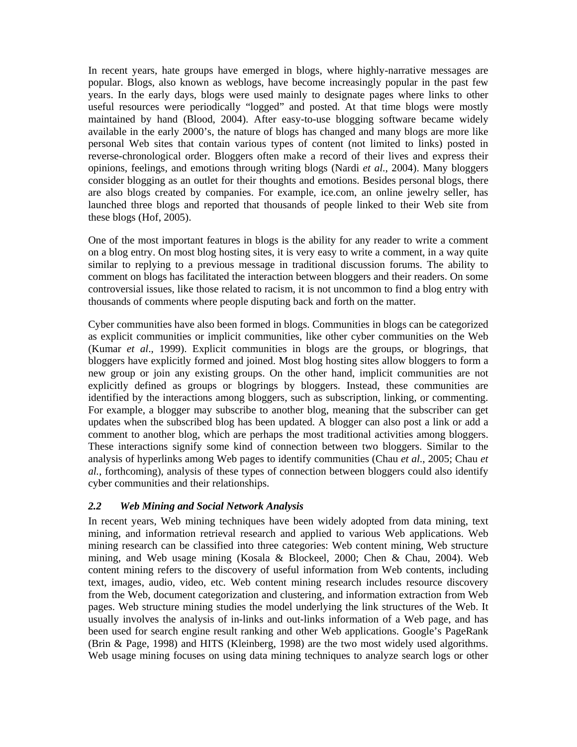In recent years, hate groups have emerged in blogs, where highly-narrative messages are popular. Blogs, also known as weblogs, have become increasingly popular in the past few years. In the early days, blogs were used mainly to designate pages where links to other useful resources were periodically "logged" and posted. At that time blogs were mostly maintained by hand (Blood, 2004). After easy-to-use blogging software became widely available in the early 2000's, the nature of blogs has changed and many blogs are more like personal Web sites that contain various types of content (not limited to links) posted in reverse-chronological order. Bloggers often make a record of their lives and express their opinions, feelings, and emotions through writing blogs (Nardi *et al*., 2004). Many bloggers consider blogging as an outlet for their thoughts and emotions. Besides personal blogs, there are also blogs created by companies. For example, ice.com, an online jewelry seller, has launched three blogs and reported that thousands of people linked to their Web site from these blogs (Hof, 2005).

One of the most important features in blogs is the ability for any reader to write a comment on a blog entry. On most blog hosting sites, it is very easy to write a comment, in a way quite similar to replying to a previous message in traditional discussion forums. The ability to comment on blogs has facilitated the interaction between bloggers and their readers. On some controversial issues, like those related to racism, it is not uncommon to find a blog entry with thousands of comments where people disputing back and forth on the matter.

Cyber communities have also been formed in blogs. Communities in blogs can be categorized as explicit communities or implicit communities, like other cyber communities on the Web (Kumar *et al*., 1999). Explicit communities in blogs are the groups, or blogrings, that bloggers have explicitly formed and joined. Most blog hosting sites allow bloggers to form a new group or join any existing groups. On the other hand, implicit communities are not explicitly defined as groups or blogrings by bloggers. Instead, these communities are identified by the interactions among bloggers, such as subscription, linking, or commenting. For example, a blogger may subscribe to another blog, meaning that the subscriber can get updates when the subscribed blog has been updated. A blogger can also post a link or add a comment to another blog, which are perhaps the most traditional activities among bloggers. These interactions signify some kind of connection between two bloggers. Similar to the analysis of hyperlinks among Web pages to identify communities (Chau *et al*., 2005; Chau *et al.*, forthcoming), analysis of these types of connection between bloggers could also identify cyber communities and their relationships.

### *2.2 Web Mining and Social Network Analysis*

In recent years, Web mining techniques have been widely adopted from data mining, text mining, and information retrieval research and applied to various Web applications. Web mining research can be classified into three categories: Web content mining, Web structure mining, and Web usage mining (Kosala & Blockeel, 2000; Chen & Chau, 2004). Web content mining refers to the discovery of useful information from Web contents, including text, images, audio, video, etc. Web content mining research includes resource discovery from the Web, document categorization and clustering, and information extraction from Web pages. Web structure mining studies the model underlying the link structures of the Web. It usually involves the analysis of in-links and out-links information of a Web page, and has been used for search engine result ranking and other Web applications. Google's PageRank (Brin & Page, 1998) and HITS (Kleinberg, 1998) are the two most widely used algorithms. Web usage mining focuses on using data mining techniques to analyze search logs or other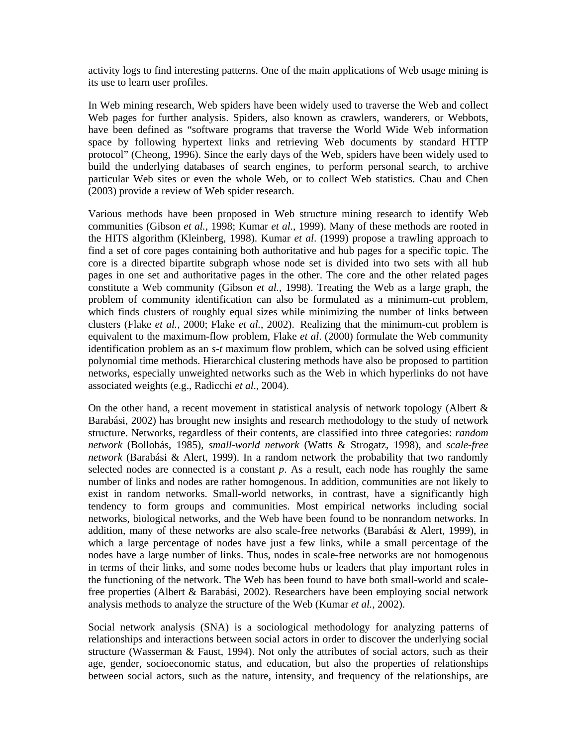activity logs to find interesting patterns. One of the main applications of Web usage mining is its use to learn user profiles.

In Web mining research, Web spiders have been widely used to traverse the Web and collect Web pages for further analysis. Spiders, also known as crawlers, wanderers, or Webbots, have been defined as "software programs that traverse the World Wide Web information space by following hypertext links and retrieving Web documents by standard HTTP protocol" (Cheong, 1996). Since the early days of the Web, spiders have been widely used to build the underlying databases of search engines, to perform personal search, to archive particular Web sites or even the whole Web, or to collect Web statistics. Chau and Chen (2003) provide a review of Web spider research.

Various methods have been proposed in Web structure mining research to identify Web communities (Gibson *et al.*, 1998; Kumar *et al.*, 1999). Many of these methods are rooted in the HITS algorithm (Kleinberg, 1998). Kumar *et al*. (1999) propose a trawling approach to find a set of core pages containing both authoritative and hub pages for a specific topic. The core is a directed bipartite subgraph whose node set is divided into two sets with all hub pages in one set and authoritative pages in the other. The core and the other related pages constitute a Web community (Gibson *et al.*, 1998). Treating the Web as a large graph, the problem of community identification can also be formulated as a minimum-cut problem, which finds clusters of roughly equal sizes while minimizing the number of links between clusters (Flake *et al.*, 2000; Flake *et al.*, 2002). Realizing that the minimum-cut problem is equivalent to the maximum-flow problem, Flake *et al*. (2000) formulate the Web community identification problem as an *s*-*t* maximum flow problem, which can be solved using efficient polynomial time methods. Hierarchical clustering methods have also be proposed to partition networks, especially unweighted networks such as the Web in which hyperlinks do not have associated weights (e.g., Radicchi *et al*., 2004).

On the other hand, a recent movement in statistical analysis of network topology (Albert  $\&$ Barabási, 2002) has brought new insights and research methodology to the study of network structure. Networks, regardless of their contents, are classified into three categories: *random network* (Bollobás, 1985), *small-world network* (Watts & Strogatz, 1998), and *scale-free network* (Barabási & Alert, 1999). In a random network the probability that two randomly selected nodes are connected is a constant  $p$ . As a result, each node has roughly the same number of links and nodes are rather homogenous. In addition, communities are not likely to exist in random networks. Small-world networks, in contrast, have a significantly high tendency to form groups and communities. Most empirical networks including social networks, biological networks, and the Web have been found to be nonrandom networks. In addition, many of these networks are also scale-free networks (Barabási & Alert, 1999), in which a large percentage of nodes have just a few links, while a small percentage of the nodes have a large number of links. Thus, nodes in scale-free networks are not homogenous in terms of their links, and some nodes become hubs or leaders that play important roles in the functioning of the network. The Web has been found to have both small-world and scalefree properties (Albert & Barabási, 2002). Researchers have been employing social network analysis methods to analyze the structure of the Web (Kumar *et al.*, 2002).

Social network analysis (SNA) is a sociological methodology for analyzing patterns of relationships and interactions between social actors in order to discover the underlying social structure (Wasserman & Faust, 1994). Not only the attributes of social actors, such as their age, gender, socioeconomic status, and education, but also the properties of relationships between social actors, such as the nature, intensity, and frequency of the relationships, are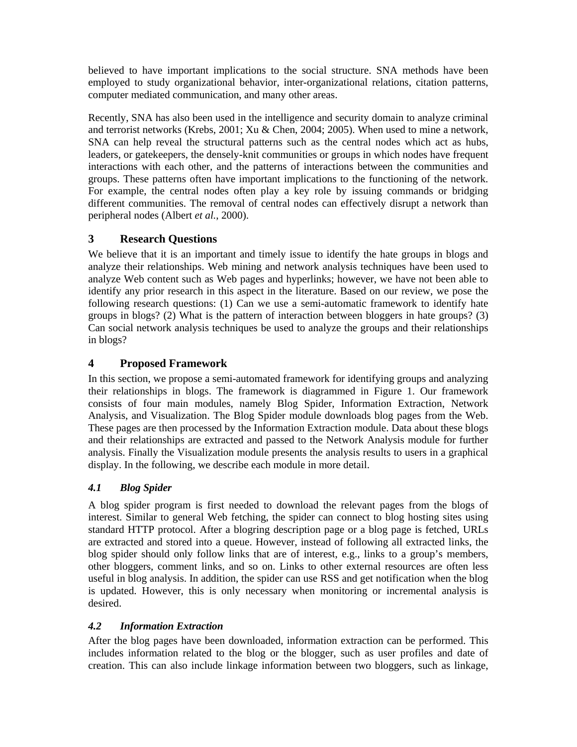believed to have important implications to the social structure. SNA methods have been employed to study organizational behavior, inter-organizational relations, citation patterns, computer mediated communication, and many other areas.

Recently, SNA has also been used in the intelligence and security domain to analyze criminal and terrorist networks (Krebs, 2001; Xu & Chen, 2004; 2005). When used to mine a network, SNA can help reveal the structural patterns such as the central nodes which act as hubs, leaders, or gatekeepers, the densely-knit communities or groups in which nodes have frequent interactions with each other, and the patterns of interactions between the communities and groups. These patterns often have important implications to the functioning of the network. For example, the central nodes often play a key role by issuing commands or bridging different communities. The removal of central nodes can effectively disrupt a network than peripheral nodes (Albert *et al.*, 2000).

# **3 Research Questions**

We believe that it is an important and timely issue to identify the hate groups in blogs and analyze their relationships. Web mining and network analysis techniques have been used to analyze Web content such as Web pages and hyperlinks; however, we have not been able to identify any prior research in this aspect in the literature. Based on our review, we pose the following research questions: (1) Can we use a semi-automatic framework to identify hate groups in blogs? (2) What is the pattern of interaction between bloggers in hate groups? (3) Can social network analysis techniques be used to analyze the groups and their relationships in blogs?

# **4 Proposed Framework**

In this section, we propose a semi-automated framework for identifying groups and analyzing their relationships in blogs. The framework is diagrammed in Figure 1. Our framework consists of four main modules, namely Blog Spider, Information Extraction, Network Analysis, and Visualization. The Blog Spider module downloads blog pages from the Web. These pages are then processed by the Information Extraction module. Data about these blogs and their relationships are extracted and passed to the Network Analysis module for further analysis. Finally the Visualization module presents the analysis results to users in a graphical display. In the following, we describe each module in more detail.

## *4.1 Blog Spider*

A blog spider program is first needed to download the relevant pages from the blogs of interest. Similar to general Web fetching, the spider can connect to blog hosting sites using standard HTTP protocol. After a blogring description page or a blog page is fetched, URLs are extracted and stored into a queue. However, instead of following all extracted links, the blog spider should only follow links that are of interest, e.g., links to a group's members, other bloggers, comment links, and so on. Links to other external resources are often less useful in blog analysis. In addition, the spider can use RSS and get notification when the blog is updated. However, this is only necessary when monitoring or incremental analysis is desired.

## *4.2 Information Extraction*

After the blog pages have been downloaded, information extraction can be performed. This includes information related to the blog or the blogger, such as user profiles and date of creation. This can also include linkage information between two bloggers, such as linkage,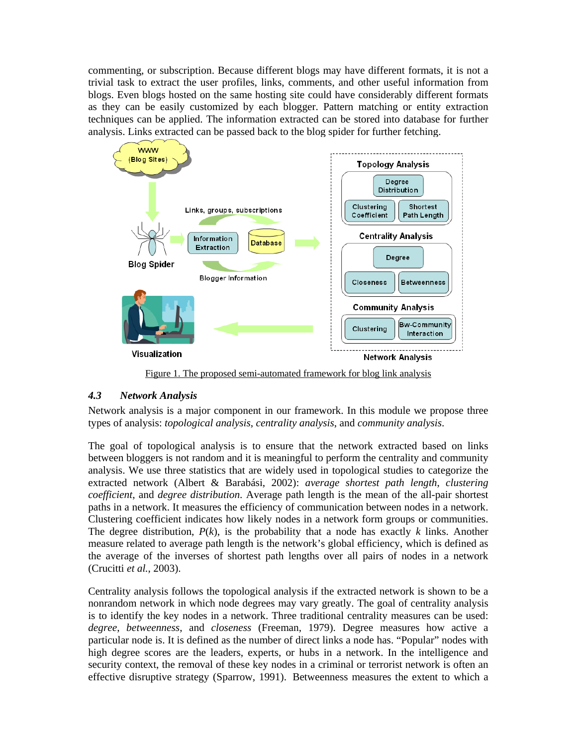commenting, or subscription. Because different blogs may have different formats, it is not a trivial task to extract the user profiles, links, comments, and other useful information from blogs. Even blogs hosted on the same hosting site could have considerably different formats as they can be easily customized by each blogger. Pattern matching or entity extraction techniques can be applied. The information extracted can be stored into database for further analysis. Links extracted can be passed back to the blog spider for further fetching.



### *4.3 Network Analysis*

Network analysis is a major component in our framework. In this module we propose three types of analysis: *topological analysis*, *centrality analysis*, and *community analysis*.

The goal of topological analysis is to ensure that the network extracted based on links between bloggers is not random and it is meaningful to perform the centrality and community analysis. We use three statistics that are widely used in topological studies to categorize the extracted network (Albert & Barabási, 2002): *average shortest path length*, *clustering coefficient*, and *degree distribution*. Average path length is the mean of the all-pair shortest paths in a network. It measures the efficiency of communication between nodes in a network. Clustering coefficient indicates how likely nodes in a network form groups or communities. The degree distribution,  $P(k)$ , is the probability that a node has exactly  $k$  links. Another measure related to average path length is the network's global efficiency, which is defined as the average of the inverses of shortest path lengths over all pairs of nodes in a network (Crucitti *et al.*, 2003).

Centrality analysis follows the topological analysis if the extracted network is shown to be a nonrandom network in which node degrees may vary greatly. The goal of centrality analysis is to identify the key nodes in a network. Three traditional centrality measures can be used: *degree*, *betweenness*, and *closeness* (Freeman, 1979). Degree measures how active a particular node is. It is defined as the number of direct links a node has. "Popular" nodes with high degree scores are the leaders, experts, or hubs in a network. In the intelligence and security context, the removal of these key nodes in a criminal or terrorist network is often an effective disruptive strategy (Sparrow, 1991). Betweenness measures the extent to which a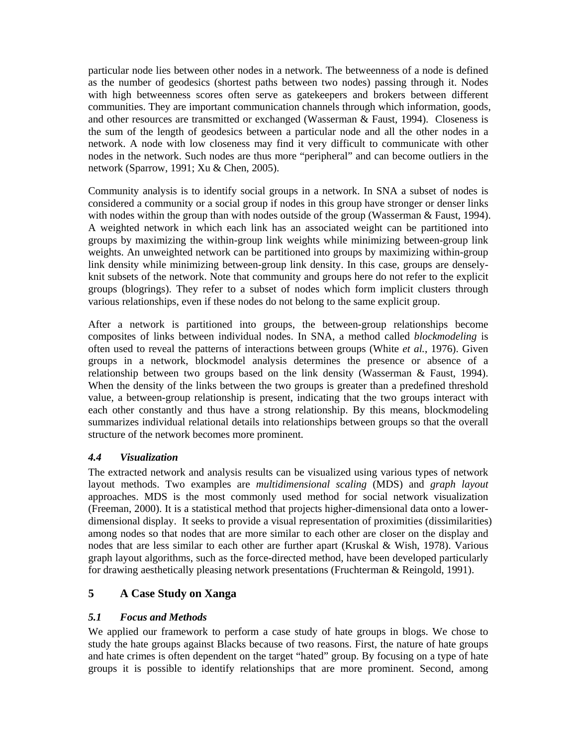particular node lies between other nodes in a network. The betweenness of a node is defined as the number of geodesics (shortest paths between two nodes) passing through it. Nodes with high betweenness scores often serve as gatekeepers and brokers between different communities. They are important communication channels through which information, goods, and other resources are transmitted or exchanged (Wasserman & Faust, 1994). Closeness is the sum of the length of geodesics between a particular node and all the other nodes in a network. A node with low closeness may find it very difficult to communicate with other nodes in the network. Such nodes are thus more "peripheral" and can become outliers in the network (Sparrow, 1991; Xu & Chen, 2005).

Community analysis is to identify social groups in a network. In SNA a subset of nodes is considered a community or a social group if nodes in this group have stronger or denser links with nodes within the group than with nodes outside of the group (Wasserman & Faust, 1994). A weighted network in which each link has an associated weight can be partitioned into groups by maximizing the within-group link weights while minimizing between-group link weights. An unweighted network can be partitioned into groups by maximizing within-group link density while minimizing between-group link density. In this case, groups are denselyknit subsets of the network. Note that community and groups here do not refer to the explicit groups (blogrings). They refer to a subset of nodes which form implicit clusters through various relationships, even if these nodes do not belong to the same explicit group.

After a network is partitioned into groups, the between-group relationships become composites of links between individual nodes. In SNA, a method called *blockmodeling* is often used to reveal the patterns of interactions between groups (White *et al.*, 1976). Given groups in a network, blockmodel analysis determines the presence or absence of a relationship between two groups based on the link density (Wasserman & Faust, 1994). When the density of the links between the two groups is greater than a predefined threshold value, a between-group relationship is present, indicating that the two groups interact with each other constantly and thus have a strong relationship. By this means, blockmodeling summarizes individual relational details into relationships between groups so that the overall structure of the network becomes more prominent.

## *4.4 Visualization*

The extracted network and analysis results can be visualized using various types of network layout methods. Two examples are *multidimensional scaling* (MDS) and *graph layout*  approaches. MDS is the most commonly used method for social network visualization (Freeman, 2000). It is a statistical method that projects higher-dimensional data onto a lowerdimensional display. It seeks to provide a visual representation of proximities (dissimilarities) among nodes so that nodes that are more similar to each other are closer on the display and nodes that are less similar to each other are further apart (Kruskal & Wish, 1978). Various graph layout algorithms, such as the force-directed method, have been developed particularly for drawing aesthetically pleasing network presentations (Fruchterman & Reingold, 1991).

## **5 A Case Study on Xanga**

## *5.1 Focus and Methods*

We applied our framework to perform a case study of hate groups in blogs. We chose to study the hate groups against Blacks because of two reasons. First, the nature of hate groups and hate crimes is often dependent on the target "hated" group. By focusing on a type of hate groups it is possible to identify relationships that are more prominent. Second, among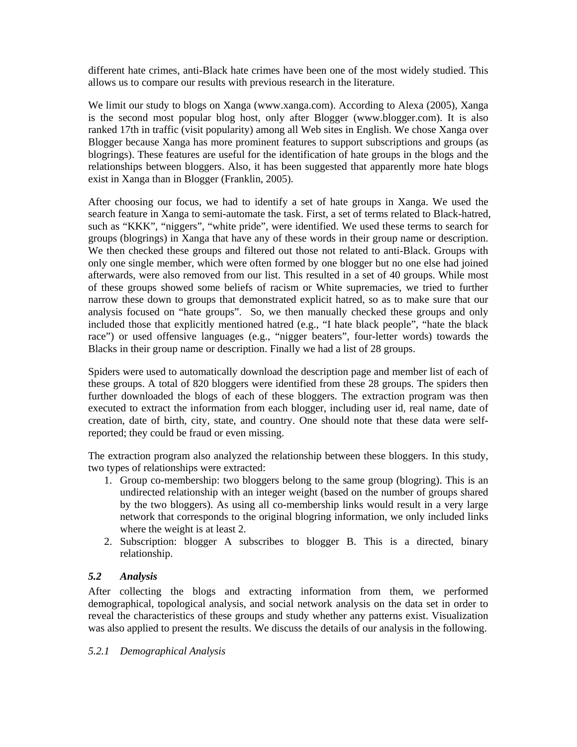different hate crimes, anti-Black hate crimes have been one of the most widely studied. This allows us to compare our results with previous research in the literature.

We limit our study to blogs on Xanga (www.xanga.com). According to Alexa (2005), Xanga is the second most popular blog host, only after Blogger (www.blogger.com). It is also ranked 17th in traffic (visit popularity) among all Web sites in English. We chose Xanga over Blogger because Xanga has more prominent features to support subscriptions and groups (as blogrings). These features are useful for the identification of hate groups in the blogs and the relationships between bloggers. Also, it has been suggested that apparently more hate blogs exist in Xanga than in Blogger (Franklin, 2005).

After choosing our focus, we had to identify a set of hate groups in Xanga. We used the search feature in Xanga to semi-automate the task. First, a set of terms related to Black-hatred, such as "KKK", "niggers", "white pride", were identified. We used these terms to search for groups (blogrings) in Xanga that have any of these words in their group name or description. We then checked these groups and filtered out those not related to anti-Black. Groups with only one single member, which were often formed by one blogger but no one else had joined afterwards, were also removed from our list. This resulted in a set of 40 groups. While most of these groups showed some beliefs of racism or White supremacies, we tried to further narrow these down to groups that demonstrated explicit hatred, so as to make sure that our analysis focused on "hate groups". So, we then manually checked these groups and only included those that explicitly mentioned hatred (e.g., "I hate black people", "hate the black race") or used offensive languages (e.g., "nigger beaters", four-letter words) towards the Blacks in their group name or description. Finally we had a list of 28 groups.

Spiders were used to automatically download the description page and member list of each of these groups. A total of 820 bloggers were identified from these 28 groups. The spiders then further downloaded the blogs of each of these bloggers. The extraction program was then executed to extract the information from each blogger, including user id, real name, date of creation, date of birth, city, state, and country. One should note that these data were selfreported; they could be fraud or even missing.

The extraction program also analyzed the relationship between these bloggers. In this study, two types of relationships were extracted:

- 1. Group co-membership: two bloggers belong to the same group (blogring). This is an undirected relationship with an integer weight (based on the number of groups shared by the two bloggers). As using all co-membership links would result in a very large network that corresponds to the original blogring information, we only included links where the weight is at least 2.
- 2. Subscription: blogger A subscribes to blogger B. This is a directed, binary relationship.

## *5.2 Analysis*

After collecting the blogs and extracting information from them, we performed demographical, topological analysis, and social network analysis on the data set in order to reveal the characteristics of these groups and study whether any patterns exist. Visualization was also applied to present the results. We discuss the details of our analysis in the following.

### *5.2.1 Demographical Analysis*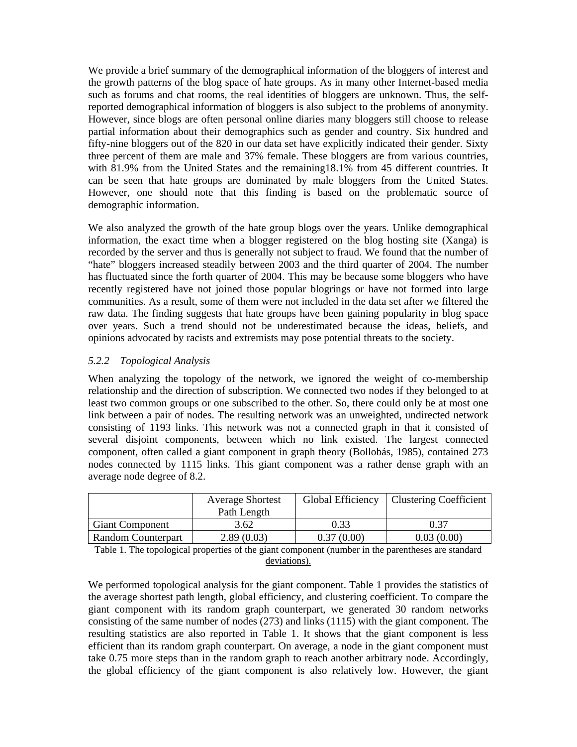We provide a brief summary of the demographical information of the bloggers of interest and the growth patterns of the blog space of hate groups. As in many other Internet-based media such as forums and chat rooms, the real identities of bloggers are unknown. Thus, the selfreported demographical information of bloggers is also subject to the problems of anonymity. However, since blogs are often personal online diaries many bloggers still choose to release partial information about their demographics such as gender and country. Six hundred and fifty-nine bloggers out of the 820 in our data set have explicitly indicated their gender. Sixty three percent of them are male and 37% female. These bloggers are from various countries, with 81.9% from the United States and the remaining18.1% from 45 different countries. It can be seen that hate groups are dominated by male bloggers from the United States. However, one should note that this finding is based on the problematic source of demographic information.

We also analyzed the growth of the hate group blogs over the years. Unlike demographical information, the exact time when a blogger registered on the blog hosting site (Xanga) is recorded by the server and thus is generally not subject to fraud. We found that the number of "hate" bloggers increased steadily between 2003 and the third quarter of 2004. The number has fluctuated since the forth quarter of 2004. This may be because some bloggers who have recently registered have not joined those popular blogrings or have not formed into large communities. As a result, some of them were not included in the data set after we filtered the raw data. The finding suggests that hate groups have been gaining popularity in blog space over years. Such a trend should not be underestimated because the ideas, beliefs, and opinions advocated by racists and extremists may pose potential threats to the society.

### *5.2.2 Topological Analysis*

When analyzing the topology of the network, we ignored the weight of co-membership relationship and the direction of subscription. We connected two nodes if they belonged to at least two common groups or one subscribed to the other. So, there could only be at most one link between a pair of nodes. The resulting network was an unweighted, undirected network consisting of 1193 links. This network was not a connected graph in that it consisted of several disjoint components, between which no link existed. The largest connected component, often called a giant component in graph theory (Bollobás, 1985), contained 273 nodes connected by 1115 links. This giant component was a rather dense graph with an average node degree of 8.2.

|                        | <b>Average Shortest</b><br>Path Length | <b>Global Efficiency</b> | <b>Clustering Coefficient</b> |
|------------------------|----------------------------------------|--------------------------|-------------------------------|
| <b>Giant Component</b> | 3.62                                   | 0.33                     | 0.37                          |
| Random Counterpart     | 2.89(0.03)                             | 0.37(0.00)               | 0.03(0.00)                    |

Table 1. The topological properties of the giant component (number in the parentheses are standard deviations).

We performed topological analysis for the giant component. Table 1 provides the statistics of the average shortest path length, global efficiency, and clustering coefficient. To compare the giant component with its random graph counterpart, we generated 30 random networks consisting of the same number of nodes (273) and links (1115) with the giant component. The resulting statistics are also reported in Table 1. It shows that the giant component is less efficient than its random graph counterpart. On average, a node in the giant component must take 0.75 more steps than in the random graph to reach another arbitrary node. Accordingly, the global efficiency of the giant component is also relatively low. However, the giant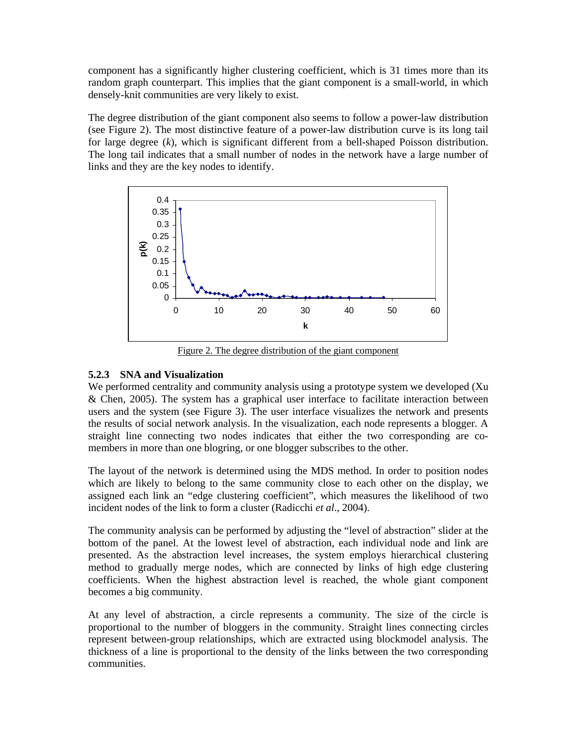component has a significantly higher clustering coefficient, which is 31 times more than its random graph counterpart. This implies that the giant component is a small-world, in which densely-knit communities are very likely to exist.

The degree distribution of the giant component also seems to follow a power-law distribution (see Figure 2). The most distinctive feature of a power-law distribution curve is its long tail for large degree (*k*), which is significant different from a bell-shaped Poisson distribution. The long tail indicates that a small number of nodes in the network have a large number of links and they are the key nodes to identify.



Figure 2. The degree distribution of the giant component

### **5.2.3 SNA and Visualization**

We performed centrality and community analysis using a prototype system we developed (Xu & Chen, 2005). The system has a graphical user interface to facilitate interaction between users and the system (see Figure 3). The user interface visualizes the network and presents the results of social network analysis. In the visualization, each node represents a blogger. A straight line connecting two nodes indicates that either the two corresponding are comembers in more than one blogring, or one blogger subscribes to the other.

The layout of the network is determined using the MDS method. In order to position nodes which are likely to belong to the same community close to each other on the display, we assigned each link an "edge clustering coefficient", which measures the likelihood of two incident nodes of the link to form a cluster (Radicchi *et al*., 2004).

The community analysis can be performed by adjusting the "level of abstraction" slider at the bottom of the panel. At the lowest level of abstraction, each individual node and link are presented. As the abstraction level increases, the system employs hierarchical clustering method to gradually merge nodes, which are connected by links of high edge clustering coefficients. When the highest abstraction level is reached, the whole giant component becomes a big community.

At any level of abstraction, a circle represents a community. The size of the circle is proportional to the number of bloggers in the community. Straight lines connecting circles represent between-group relationships, which are extracted using blockmodel analysis. The thickness of a line is proportional to the density of the links between the two corresponding communities.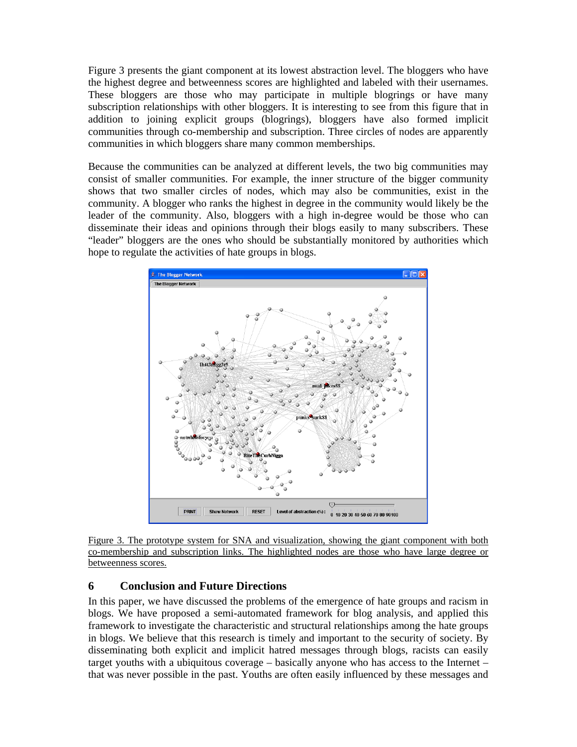Figure 3 presents the giant component at its lowest abstraction level. The bloggers who have the highest degree and betweenness scores are highlighted and labeled with their usernames. These bloggers are those who may participate in multiple blogrings or have many subscription relationships with other bloggers. It is interesting to see from this figure that in addition to joining explicit groups (blogrings), bloggers have also formed implicit communities through co-membership and subscription. Three circles of nodes are apparently communities in which bloggers share many common memberships.

Because the communities can be analyzed at different levels, the two big communities may consist of smaller communities. For example, the inner structure of the bigger community shows that two smaller circles of nodes, which may also be communities, exist in the community. A blogger who ranks the highest in degree in the community would likely be the leader of the community. Also, bloggers with a high in-degree would be those who can disseminate their ideas and opinions through their blogs easily to many subscribers. These "leader" bloggers are the ones who should be substantially monitored by authorities which hope to regulate the activities of hate groups in blogs.



Figure 3. The prototype system for SNA and visualization, showing the giant component with both co-membership and subscription links. The highlighted nodes are those who have large degree or betweenness scores.

### **6 Conclusion and Future Directions**

In this paper, we have discussed the problems of the emergence of hate groups and racism in blogs. We have proposed a semi-automated framework for blog analysis, and applied this framework to investigate the characteristic and structural relationships among the hate groups in blogs. We believe that this research is timely and important to the security of society. By disseminating both explicit and implicit hatred messages through blogs, racists can easily target youths with a ubiquitous coverage – basically anyone who has access to the Internet – that was never possible in the past. Youths are often easily influenced by these messages and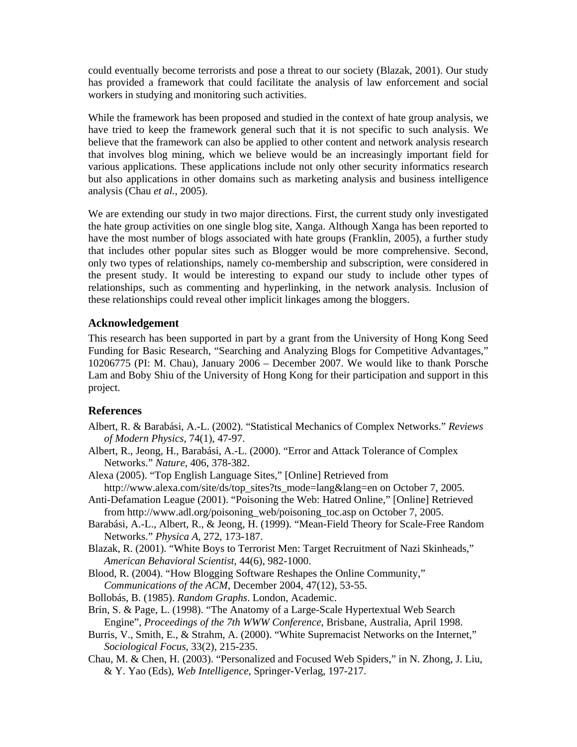could eventually become terrorists and pose a threat to our society (Blazak, 2001). Our study has provided a framework that could facilitate the analysis of law enforcement and social workers in studying and monitoring such activities.

While the framework has been proposed and studied in the context of hate group analysis, we have tried to keep the framework general such that it is not specific to such analysis. We believe that the framework can also be applied to other content and network analysis research that involves blog mining, which we believe would be an increasingly important field for various applications. These applications include not only other security informatics research but also applications in other domains such as marketing analysis and business intelligence analysis (Chau *et al.*, 2005).

We are extending our study in two major directions. First, the current study only investigated the hate group activities on one single blog site, Xanga. Although Xanga has been reported to have the most number of blogs associated with hate groups (Franklin, 2005), a further study that includes other popular sites such as Blogger would be more comprehensive. Second, only two types of relationships, namely co-membership and subscription, were considered in the present study. It would be interesting to expand our study to include other types of relationships, such as commenting and hyperlinking, in the network analysis. Inclusion of these relationships could reveal other implicit linkages among the bloggers.

#### **Acknowledgement**

This research has been supported in part by a grant from the University of Hong Kong Seed Funding for Basic Research, "Searching and Analyzing Blogs for Competitive Advantages," 10206775 (PI: M. Chau), January 2006 – December 2007. We would like to thank Porsche Lam and Boby Shiu of the University of Hong Kong for their participation and support in this project.

### **References**

- Albert, R. & Barabási, A.-L. (2002). "Statistical Mechanics of Complex Networks." *Reviews of Modern Physics*, 74(1), 47-97.
- Albert, R., Jeong, H., Barabási, A.-L. (2000). "Error and Attack Tolerance of Complex Networks." *Nature*, 406, 378-382.
- Alexa (2005). "Top English Language Sites," [Online] Retrieved from http://www.alexa.com/site/ds/top\_sites?ts\_mode=lang&lang=en on October 7, 2005.
- Anti-Defamation League (2001). "Poisoning the Web: Hatred Online," [Online] Retrieved from http://www.adl.org/poisoning\_web/poisoning\_toc.asp on October 7, 2005.
- Barabási, A.-L., Albert, R., & Jeong, H. (1999). "Mean-Field Theory for Scale-Free Random Networks." *Physica A*, 272, 173-187.
- Blazak, R. (2001). "White Boys to Terrorist Men: Target Recruitment of Nazi Skinheads," *American Behavioral Scientist*, 44(6), 982-1000.
- Blood, R. (2004). "How Blogging Software Reshapes the Online Community," *Communications of the ACM*, December 2004, 47(12), 53-55.
- Bollobás, B. (1985). *Random Graphs*. London, Academic.
- Brin, S. & Page, L. (1998). "The Anatomy of a Large-Scale Hypertextual Web Search Engine", *Proceedings of the 7th WWW Conference*, Brisbane, Australia, April 1998.
- Burris, V., Smith, E., & Strahm, A. (2000). "White Supremacist Networks on the Internet," *Sociological Focus*, 33(2), 215-235.
- Chau, M. & Chen, H. (2003). "Personalized and Focused Web Spiders," in N. Zhong, J. Liu, & Y. Yao (Eds), *Web Intelligence*, Springer-Verlag, 197-217.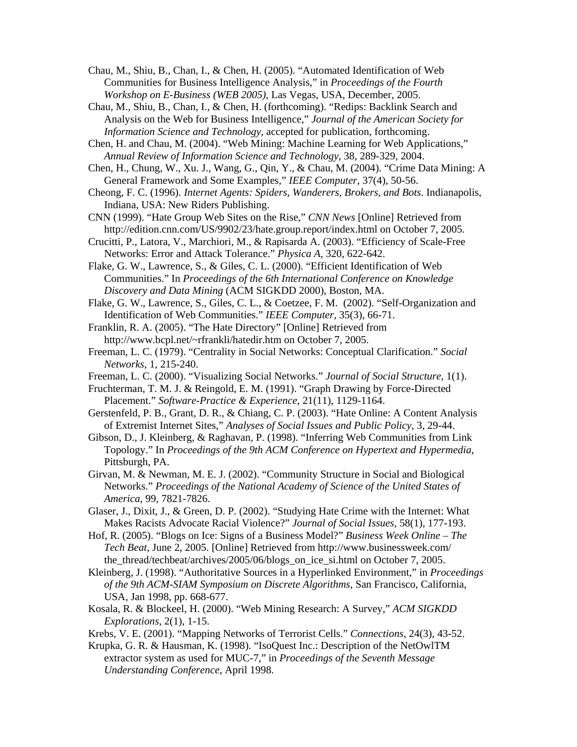- Chau, M., Shiu, B., Chan, I., & Chen, H. (2005). "Automated Identification of Web Communities for Business Intelligence Analysis," in *Proceedings of the Fourth Workshop on E-Business (WEB 2005)*, Las Vegas, USA, December, 2005.
- Chau, M., Shiu, B., Chan, I., & Chen, H. (forthcoming). "Redips: Backlink Search and Analysis on the Web for Business Intelligence," *Journal of the American Society for Information Science and Technology*, accepted for publication, forthcoming.
- Chen, H. and Chau, M. (2004). "Web Mining: Machine Learning for Web Applications," *Annual Review of Information Science and Technology*, 38, 289-329, 2004.
- Chen, H., Chung, W., Xu. J., Wang, G., Qin, Y., & Chau, M. (2004). "Crime Data Mining: A General Framework and Some Examples," *IEEE Computer*, 37(4), 50-56.
- Cheong, F. C. (1996). *Internet Agents: Spiders, Wanderers, Brokers, and Bots*. Indianapolis, Indiana, USA: New Riders Publishing.
- CNN (1999). "Hate Group Web Sites on the Rise," *CNN News* [Online] Retrieved from http://edition.cnn.com/US/9902/23/hate.group.report/index.html on October 7, 2005.
- Crucitti, P., Latora, V., Marchiori, M., & Rapisarda A. (2003). "Efficiency of Scale-Free Networks: Error and Attack Tolerance." *Physica A*, 320, 622-642.
- Flake, G. W., Lawrence, S., & Giles, C. L. (2000). "Efficient Identification of Web Communities." In *Proceedings of the 6th International Conference on Knowledge Discovery and Data Mining* (ACM SIGKDD 2000), Boston, MA.
- Flake, G. W., Lawrence, S., Giles, C. L., & Coetzee, F. M. (2002). "Self-Organization and Identification of Web Communities." *IEEE Computer,* 35(3), 66-71.
- Franklin, R. A. (2005). "The Hate Directory" [Online] Retrieved from http://www.bcpl.net/~rfrankli/hatedir.htm on October 7, 2005.
- Freeman, L. C. (1979). "Centrality in Social Networks: Conceptual Clarification." *Social Networks*, 1, 215-240.
- Freeman, L. C. (2000). "Visualizing Social Networks." *Journal of Social Structure*, 1(1).

Fruchterman, T. M. J. & Reingold, E. M. (1991). "Graph Drawing by Force-Directed Placement." *Software-Practice & Experience*, 21(11), 1129-1164.

- Gerstenfeld, P. B., Grant, D. R., & Chiang, C. P. (2003). "Hate Online: A Content Analysis of Extremist Internet Sites," *Analyses of Social Issues and Public Policy*, 3, 29-44.
- Gibson, D., J. Kleinberg, & Raghavan, P. (1998). "Inferring Web Communities from Link Topology." In *Proceedings of the 9th ACM Conference on Hypertext and Hypermedia*, Pittsburgh, PA.
- Girvan, M. & Newman, M. E. J. (2002). "Community Structure in Social and Biological Networks." *Proceedings of the National Academy of Science of the United States of America*, 99, 7821-7826.
- Glaser, J., Dixit, J., & Green, D. P. (2002). "Studying Hate Crime with the Internet: What Makes Racists Advocate Racial Violence?" *Journal of Social Issues*, 58(1), 177-193.
- Hof, R. (2005). "Blogs on Ice: Signs of a Business Model?" *Business Week Online The Tech Beat*, June 2, 2005. [Online] Retrieved from http://www.businessweek.com/ the\_thread/techbeat/archives/2005/06/blogs\_on\_ice\_si.html on October 7, 2005.
- Kleinberg, J. (1998). "Authoritative Sources in a Hyperlinked Environment," in *Proceedings of the 9th ACM-SIAM Symposium on Discrete Algorithms*, San Francisco, California, USA, Jan 1998, pp. 668-677.
- Kosala, R. & Blockeel, H. (2000). "Web Mining Research: A Survey," *ACM SIGKDD Explorations*, 2(1), 1-15.
- Krebs, V. E. (2001). "Mapping Networks of Terrorist Cells." *Connections*, 24(3), 43-52.
- Krupka, G. R. & Hausman, K. (1998). "IsoQuest Inc.: Description of the NetOwlTM extractor system as used for MUC-7," in *Proceedings of the Seventh Message Understanding Conference*, April 1998.